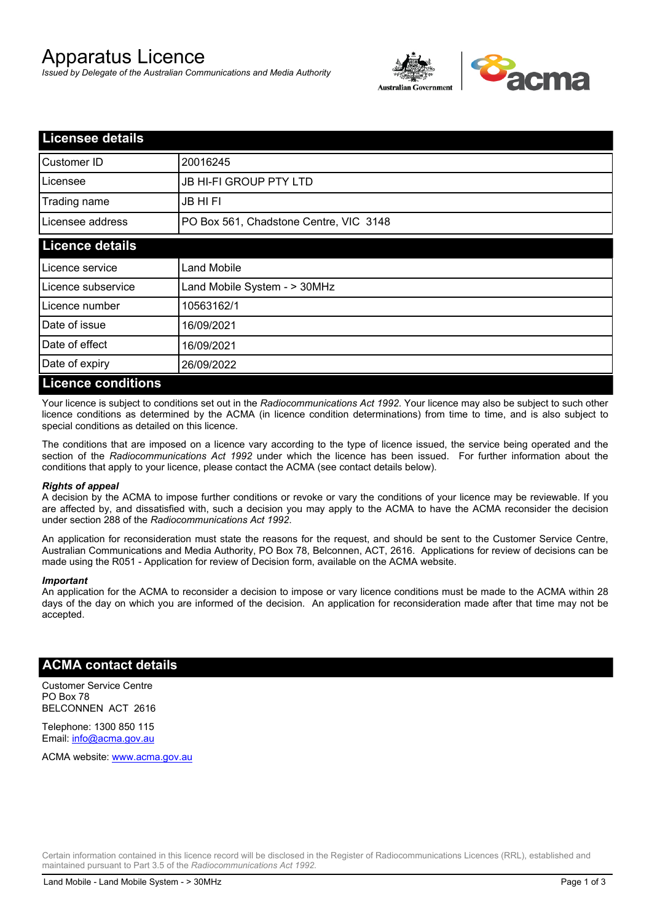# Apparatus Licence

*Issued by Delegate of the Australian Communications and Media Authority*



| <b>Licensee details</b>   |                                        |  |
|---------------------------|----------------------------------------|--|
| Customer ID               | 20016245                               |  |
| Licensee                  | <b>JB HI-FI GROUP PTY LTD</b>          |  |
| Trading name              | <b>JB HIFI</b>                         |  |
| Licensee address          | PO Box 561, Chadstone Centre, VIC 3148 |  |
| <b>Licence details</b>    |                                        |  |
| Licence service           | Land Mobile                            |  |
| Licence subservice        | Land Mobile System - > 30MHz           |  |
| Licence number            | 10563162/1                             |  |
| Date of issue             | 16/09/2021                             |  |
| Date of effect            | 16/09/2021                             |  |
| Date of expiry            | 26/09/2022                             |  |
| <b>Licence conditions</b> |                                        |  |

Your licence is subject to conditions set out in the *Radiocommunications Act 1992*. Your licence may also be subject to such other licence conditions as determined by the ACMA (in licence condition determinations) from time to time, and is also subject to special conditions as detailed on this licence.

The conditions that are imposed on a licence vary according to the type of licence issued, the service being operated and the section of the *Radiocommunications Act 1992* under which the licence has been issued. For further information about the conditions that apply to your licence, please contact the ACMA (see contact details below).

#### *Rights of appeal*

A decision by the ACMA to impose further conditions or revoke or vary the conditions of your licence may be reviewable. If you are affected by, and dissatisfied with, such a decision you may apply to the ACMA to have the ACMA reconsider the decision under section 288 of the *Radiocommunications Act 1992*.

An application for reconsideration must state the reasons for the request, and should be sent to the Customer Service Centre, Australian Communications and Media Authority, PO Box 78, Belconnen, ACT, 2616. Applications for review of decisions can be made using the R051 - Application for review of Decision form, available on the ACMA website.

#### *Important*

An application for the ACMA to reconsider a decision to impose or vary licence conditions must be made to the ACMA within 28 days of the day on which you are informed of the decision. An application for reconsideration made after that time may not be accepted.

### **ACMA contact details**

Customer Service Centre PO Box 78 BELCONNEN ACT 2616

Telephone: 1300 850 115 Email: info@acma.gov.au

ACMA website: www.acma.gov.au

Certain information contained in this licence record will be disclosed in the Register of Radiocommunications Licences (RRL), established and maintained pursuant to Part 3.5 of the *Radiocommunications Act 1992.*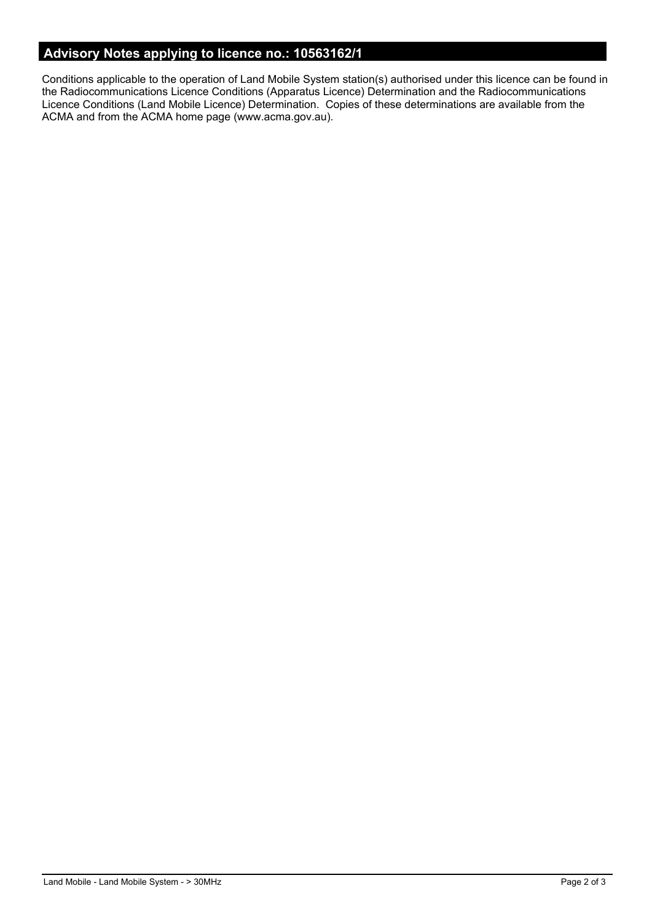# **Advisory Notes applying to licence no.: 10563162/1**

Conditions applicable to the operation of Land Mobile System station(s) authorised under this licence can be found in the Radiocommunications Licence Conditions (Apparatus Licence) Determination and the Radiocommunications Licence Conditions (Land Mobile Licence) Determination. Copies of these determinations are available from the ACMA and from the ACMA home page (www.acma.gov.au).